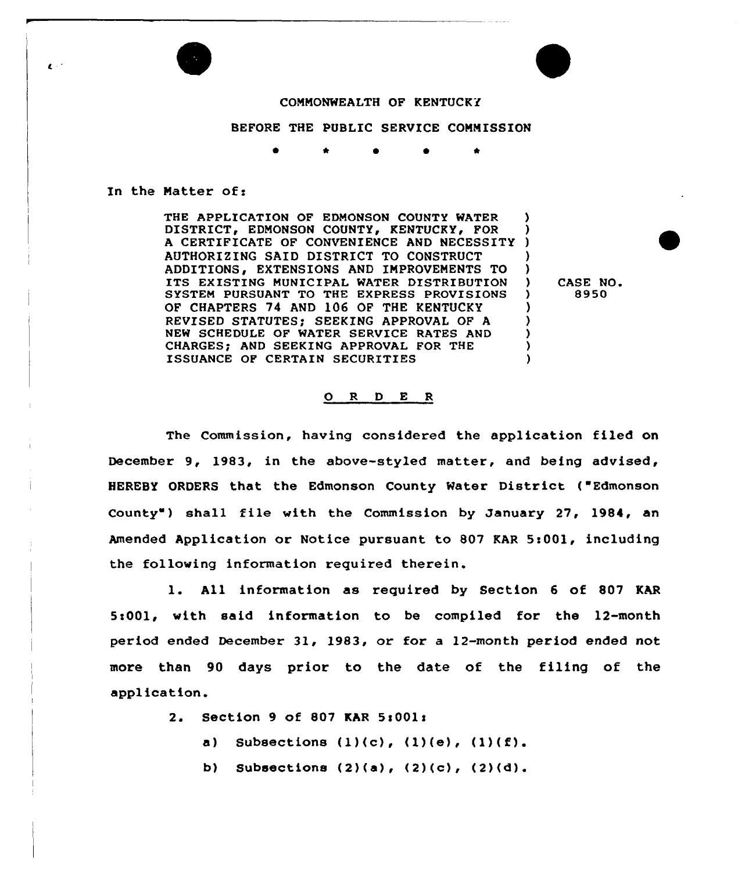

## COMMONWEALTH OF KENTUCKY

## BEFORE THE PUBLIC SERVICE COMMISSION

## In the Matter of:

THE APPLICATION OF EDMONSON COUNTY WATER DISTRICT, EDMONSON COUNTY, KENTUCKY, FOR A CERTIFICATE OF CONVENIENCE AND NECESSITY ) AUTHORIZING SAID DISTRICT TO CONSTRUCT ) ADDITIONS, EXTENSIONS AND IMPROVEMENTS TO ITS EXISTING MUNICIPAL WATER DISTRIBUTION )<br>SYSTEM PURSUANT TO THE EXPRESS PROVISIONS ) SYSTEM PURSUANT TO THE EXPRESS PROVISIONS OF CHAPTERS 74 AND 106 OF THE KENTUCKY REVISED STATUTES; SEEKING APPROVAL OF A  $\qquad$  ) NEW SCHEDULE OF WATER SERVICE RATES AND ) CHARGES; AND SEEKING APPROVAL FOR THE  $\qquad$ )<br>
ISSHANCE OF CERTAIN SECHRITIES ISSUANCE OF CERTAIN SECURITIES

CASE NO. 8950

## 0 <sup>R</sup> <sup>D</sup> E <sup>R</sup>

The Commission, having considered the application filed on December 9, 1983, in the above-styled matter, and being advised, HEREBY ORDERS that the Edmonson County Water District ( Edmonson County ) shall file with the Commission by January 27, 1984, an Amended Application or Notice pursuant to 807 KAR 5:001, including the following information required therein.

l. All information as required by Section <sup>6</sup> of <sup>807</sup> KAR 5>001, with said information to be compiled for the 12-month period ended December 31, 1983, or for a 12-month period ended not more than 90 days prior to the date of the filing of the application.

2. Section 9 of 807 KAR 5s001x

a) Subsections  $(1)(c)$ ,  $(1)(e)$ ,  $(1)(f)$ .

b) Subsections  $(2)(a)$ ,  $(2)(c)$ ,  $(2)(d)$ .

 $\mathbf{C}$